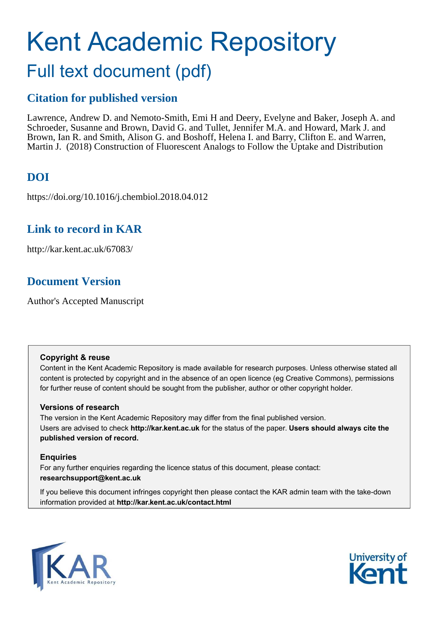# Kent Academic Repository Full text document (pdf)

# **Citation for published version**

Lawrence, Andrew D. and Nemoto-Smith, Emi H and Deery, Evelyne and Baker, Joseph A. and Schroeder, Susanne and Brown, David G. and Tullet, Jennifer M.A. and Howard, Mark J. and Brown, Ian R. and Smith, Alison G. and Boshoff, Helena I. and Barry, Clifton E. and Warren, Martin J. (2018) Construction of Fluorescent Analogs to Follow the Uptake and Distribution

# **DOI**

https://doi.org/10.1016/j.chembiol.2018.04.012

# **Link to record in KAR**

http://kar.kent.ac.uk/67083/

# **Document Version**

Author's Accepted Manuscript

### **Copyright & reuse**

Content in the Kent Academic Repository is made available for research purposes. Unless otherwise stated all content is protected by copyright and in the absence of an open licence (eg Creative Commons), permissions for further reuse of content should be sought from the publisher, author or other copyright holder.

### **Versions of research**

The version in the Kent Academic Repository may differ from the final published version. Users are advised to check **http://kar.kent.ac.uk** for the status of the paper. **Users should always cite the published version of record.**

### **Enquiries**

For any further enquiries regarding the licence status of this document, please contact: **researchsupport@kent.ac.uk**

If you believe this document infringes copyright then please contact the KAR admin team with the take-down information provided at **http://kar.kent.ac.uk/contact.html**



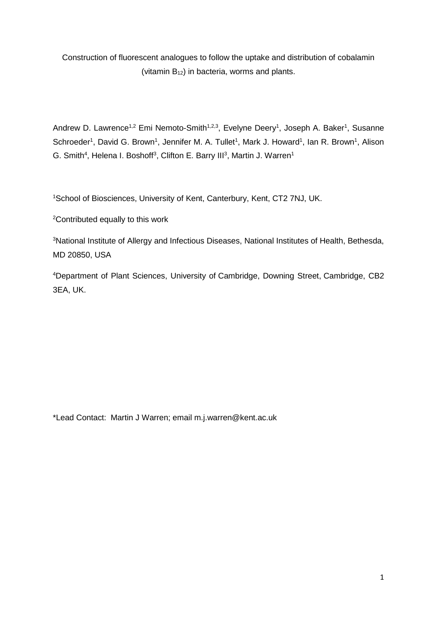Construction of fluorescent analogues to follow the uptake and distribution of cobalamin (vitamin  $B_{12}$ ) in bacteria, worms and plants.

Andrew D. Lawrence<sup>1,2</sup> Emi Nemoto-Smith<sup>1,2,3</sup>, Evelyne Deery<sup>1</sup>, Joseph A. Baker<sup>1</sup>, Susanne Schroeder<sup>1</sup>, David G. Brown<sup>1</sup>, Jennifer M. A. Tullet<sup>1</sup>, Mark J. Howard<sup>1</sup>, Ian R. Brown<sup>1</sup>, Alison G. Smith<sup>4</sup>, Helena I. Boshoff<sup>3</sup>, Clifton E. Barry III<sup>3</sup>, Martin J. Warren<sup>1</sup>

<sup>1</sup>School of Biosciences, University of Kent, Canterbury, Kent, CT2 7NJ, UK.

<sup>2</sup>Contributed equally to this work

<sup>3</sup>National Institute of Allergy and Infectious Diseases, National Institutes of Health, Bethesda, MD 20850, USA

<sup>4</sup>Department of Plant Sciences, University of Cambridge, Downing Street, Cambridge, CB2 3EA, UK.

\*Lead Contact: Martin J Warren; email m.j.warren@kent.ac.uk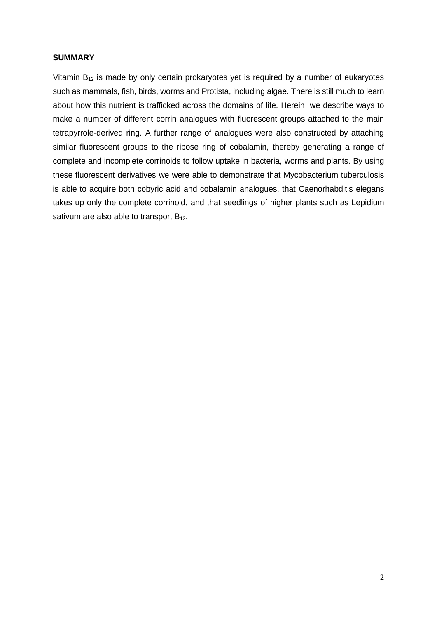#### **SUMMARY**

Vitamin  $B_{12}$  is made by only certain prokaryotes yet is required by a number of eukaryotes such as mammals, fish, birds, worms and Protista, including algae. There is still much to learn about how this nutrient is trafficked across the domains of life. Herein, we describe ways to make a number of different corrin analogues with fluorescent groups attached to the main tetrapyrrole-derived ring. A further range of analogues were also constructed by attaching similar fluorescent groups to the ribose ring of cobalamin, thereby generating a range of complete and incomplete corrinoids to follow uptake in bacteria, worms and plants. By using these fluorescent derivatives we were able to demonstrate that Mycobacterium tuberculosis is able to acquire both cobyric acid and cobalamin analogues, that Caenorhabditis elegans takes up only the complete corrinoid, and that seedlings of higher plants such as Lepidium sativum are also able to transport  $B_{12}$ .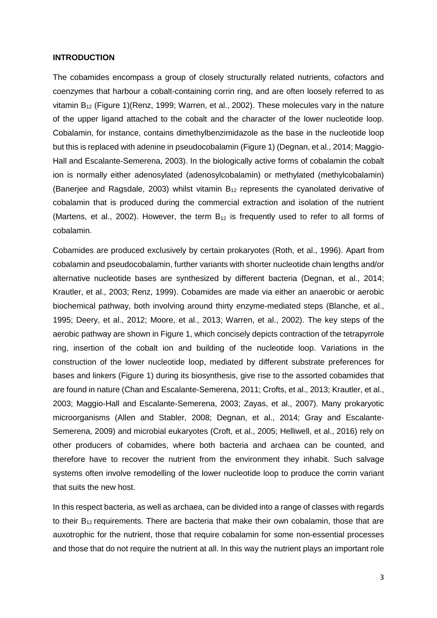#### **INTRODUCTION**

The cobamides encompass a group of closely structurally related nutrients, cofactors and coenzymes that harbour a cobalt-containing corrin ring, and are often loosely referred to as vitamin  $B_{12}$  (Figure 1)(Renz, 1999; Warren, et al., 2002). These molecules vary in the nature of the upper ligand attached to the cobalt and the character of the lower nucleotide loop. Cobalamin, for instance, contains dimethylbenzimidazole as the base in the nucleotide loop but this is replaced with adenine in pseudocobalamin (Figure 1) (Degnan, et al., 2014; Maggio-Hall and Escalante-Semerena, 2003). In the biologically active forms of cobalamin the cobalt ion is normally either adenosylated (adenosylcobalamin) or methylated (methylcobalamin) (Banerjee and Ragsdale, 2003) whilst vitamin  $B_{12}$  represents the cyanolated derivative of cobalamin that is produced during the commercial extraction and isolation of the nutrient (Martens, et al., 2002). However, the term  $B_{12}$  is frequently used to refer to all forms of cobalamin.

Cobamides are produced exclusively by certain prokaryotes (Roth, et al., 1996). Apart from cobalamin and pseudocobalamin, further variants with shorter nucleotide chain lengths and/or alternative nucleotide bases are synthesized by different bacteria (Degnan, et al., 2014; Krautler, et al., 2003; Renz, 1999). Cobamides are made via either an anaerobic or aerobic biochemical pathway, both involving around thirty enzyme-mediated steps (Blanche, et al., 1995; Deery, et al., 2012; Moore, et al., 2013; Warren, et al., 2002). The key steps of the aerobic pathway are shown in Figure 1, which concisely depicts contraction of the tetrapyrrole ring, insertion of the cobalt ion and building of the nucleotide loop. Variations in the construction of the lower nucleotide loop, mediated by different substrate preferences for bases and linkers (Figure 1) during its biosynthesis, give rise to the assorted cobamides that are found in nature (Chan and Escalante-Semerena, 2011; Crofts, et al., 2013; Krautler, et al., 2003; Maggio-Hall and Escalante-Semerena, 2003; Zayas, et al., 2007). Many prokaryotic microorganisms (Allen and Stabler, 2008; Degnan, et al., 2014; Gray and Escalante-Semerena, 2009) and microbial eukaryotes (Croft, et al., 2005; Helliwell, et al., 2016) rely on other producers of cobamides, where both bacteria and archaea can be counted, and therefore have to recover the nutrient from the environment they inhabit. Such salvage systems often involve remodelling of the lower nucleotide loop to produce the corrin variant that suits the new host.

In this respect bacteria, as well as archaea, can be divided into a range of classes with regards to their  $B_{12}$  requirements. There are bacteria that make their own cobalamin, those that are auxotrophic for the nutrient, those that require cobalamin for some non-essential processes and those that do not require the nutrient at all. In this way the nutrient plays an important role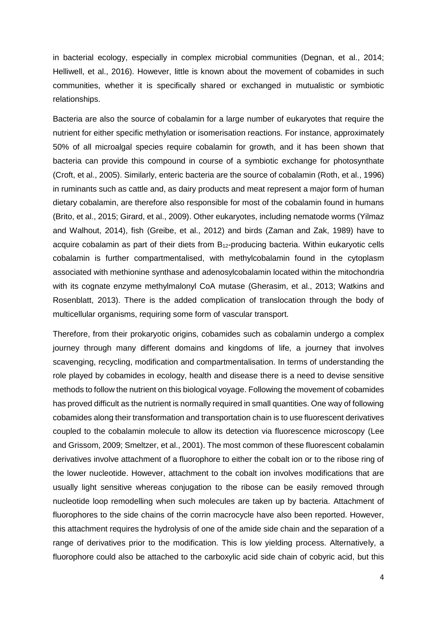in bacterial ecology, especially in complex microbial communities (Degnan, et al., 2014; Helliwell, et al., 2016). However, little is known about the movement of cobamides in such communities, whether it is specifically shared or exchanged in mutualistic or symbiotic relationships.

Bacteria are also the source of cobalamin for a large number of eukaryotes that require the nutrient for either specific methylation or isomerisation reactions. For instance, approximately 50% of all microalgal species require cobalamin for growth, and it has been shown that bacteria can provide this compound in course of a symbiotic exchange for photosynthate (Croft, et al., 2005). Similarly, enteric bacteria are the source of cobalamin (Roth, et al., 1996) in ruminants such as cattle and, as dairy products and meat represent a major form of human dietary cobalamin, are therefore also responsible for most of the cobalamin found in humans (Brito, et al., 2015; Girard, et al., 2009). Other eukaryotes, including nematode worms (Yilmaz and Walhout, 2014), fish (Greibe, et al., 2012) and birds (Zaman and Zak, 1989) have to acquire cobalamin as part of their diets from  $B_{12}$ -producing bacteria. Within eukaryotic cells cobalamin is further compartmentalised, with methylcobalamin found in the cytoplasm associated with methionine synthase and adenosylcobalamin located within the mitochondria with its cognate enzyme methylmalonyl CoA mutase (Gherasim, et al., 2013; Watkins and Rosenblatt, 2013). There is the added complication of translocation through the body of multicellular organisms, requiring some form of vascular transport.

Therefore, from their prokaryotic origins, cobamides such as cobalamin undergo a complex journey through many different domains and kingdoms of life, a journey that involves scavenging, recycling, modification and compartmentalisation. In terms of understanding the role played by cobamides in ecology, health and disease there is a need to devise sensitive methods to follow the nutrient on this biological voyage. Following the movement of cobamides has proved difficult as the nutrient is normally required in small quantities. One way of following cobamides along their transformation and transportation chain is to use fluorescent derivatives coupled to the cobalamin molecule to allow its detection via fluorescence microscopy (Lee and Grissom, 2009; Smeltzer, et al., 2001). The most common of these fluorescent cobalamin derivatives involve attachment of a fluorophore to either the cobalt ion or to the ribose ring of the lower nucleotide. However, attachment to the cobalt ion involves modifications that are usually light sensitive whereas conjugation to the ribose can be easily removed through nucleotide loop remodelling when such molecules are taken up by bacteria. Attachment of fluorophores to the side chains of the corrin macrocycle have also been reported. However, this attachment requires the hydrolysis of one of the amide side chain and the separation of a range of derivatives prior to the modification. This is low yielding process. Alternatively, a fluorophore could also be attached to the carboxylic acid side chain of cobyric acid, but this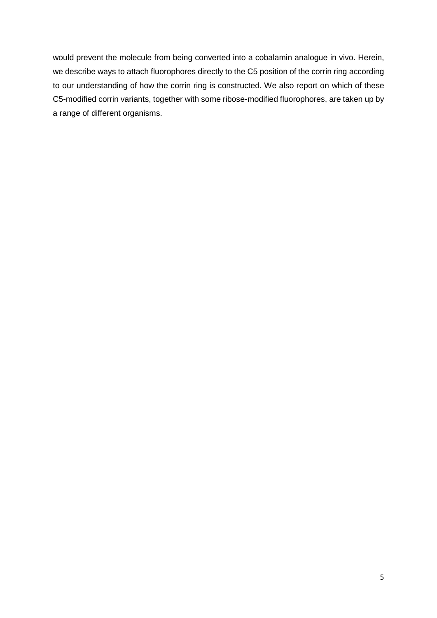would prevent the molecule from being converted into a cobalamin analogue in vivo. Herein, we describe ways to attach fluorophores directly to the C5 position of the corrin ring according to our understanding of how the corrin ring is constructed. We also report on which of these C5-modified corrin variants, together with some ribose-modified fluorophores, are taken up by a range of different organisms.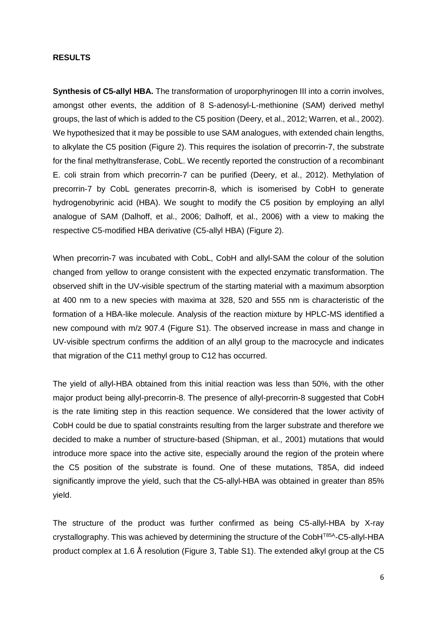#### **RESULTS**

**Synthesis of C5-allyl HBA.** The transformation of uroporphyrinogen III into a corrin involves, amongst other events, the addition of 8 S-adenosyl-L-methionine (SAM) derived methyl groups, the last of which is added to the C5 position (Deery, et al., 2012; Warren, et al., 2002). We hypothesized that it may be possible to use SAM analogues, with extended chain lengths, to alkylate the C5 position (Figure 2). This requires the isolation of precorrin-7, the substrate for the final methyltransferase, CobL. We recently reported the construction of a recombinant E. coli strain from which precorrin-7 can be purified (Deery, et al., 2012). Methylation of precorrin-7 by CobL generates precorrin-8, which is isomerised by CobH to generate hydrogenobyrinic acid (HBA). We sought to modify the C5 position by employing an allyl analogue of SAM (Dalhoff, et al., 2006; Dalhoff, et al., 2006) with a view to making the respective C5-modified HBA derivative (C5-allyl HBA) (Figure 2).

When precorrin-7 was incubated with CobL, CobH and allyl-SAM the colour of the solution changed from yellow to orange consistent with the expected enzymatic transformation. The observed shift in the UV-visible spectrum of the starting material with a maximum absorption at 400 nm to a new species with maxima at 328, 520 and 555 nm is characteristic of the formation of a HBA-like molecule. Analysis of the reaction mixture by HPLC-MS identified a new compound with m/z 907.4 (Figure S1). The observed increase in mass and change in UV-visible spectrum confirms the addition of an allyl group to the macrocycle and indicates that migration of the C11 methyl group to C12 has occurred.

The yield of allyl-HBA obtained from this initial reaction was less than 50%, with the other major product being allyl-precorrin-8. The presence of allyl-precorrin-8 suggested that CobH is the rate limiting step in this reaction sequence. We considered that the lower activity of CobH could be due to spatial constraints resulting from the larger substrate and therefore we decided to make a number of structure-based (Shipman, et al., 2001) mutations that would introduce more space into the active site, especially around the region of the protein where the C5 position of the substrate is found. One of these mutations, T85A, did indeed significantly improve the yield, such that the C5-allyl-HBA was obtained in greater than 85% yield.

The structure of the product was further confirmed as being C5-allyl-HBA by X-ray crystallography. This was achieved by determining the structure of the CobH<sup>T85A</sup>-C5-allyl-HBA product complex at 1.6 Å resolution (Figure 3, Table S1). The extended alkyl group at the C5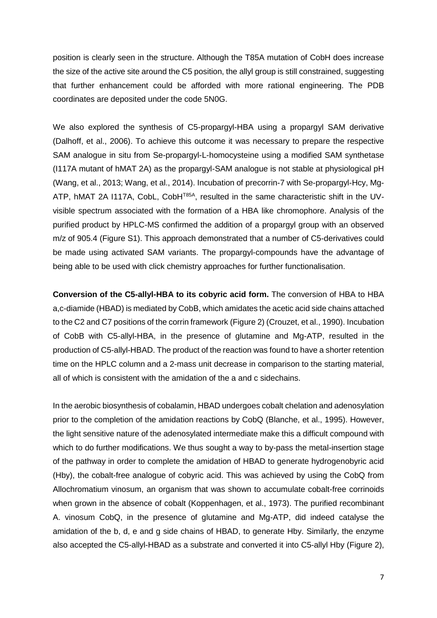position is clearly seen in the structure. Although the T85A mutation of CobH does increase the size of the active site around the C5 position, the allyl group is still constrained, suggesting that further enhancement could be afforded with more rational engineering. The PDB coordinates are deposited under the code 5N0G.

We also explored the synthesis of C5-propargyl-HBA using a propargyl SAM derivative (Dalhoff, et al., 2006). To achieve this outcome it was necessary to prepare the respective SAM analogue in situ from Se-propargyl-L-homocysteine using a modified SAM synthetase (I117A mutant of hMAT 2A) as the propargyl-SAM analogue is not stable at physiological pH (Wang, et al., 2013; Wang, et al., 2014). Incubation of precorrin-7 with Se-propargyl-Hcy, Mg-ATP, hMAT 2A I117A, CobL, CobH<sup>T85A</sup>, resulted in the same characteristic shift in the UVvisible spectrum associated with the formation of a HBA like chromophore. Analysis of the purified product by HPLC-MS confirmed the addition of a propargyl group with an observed m/z of 905.4 (Figure S1). This approach demonstrated that a number of C5-derivatives could be made using activated SAM variants. The propargyl-compounds have the advantage of being able to be used with click chemistry approaches for further functionalisation.

**Conversion of the C5-allyl-HBA to its cobyric acid form.** The conversion of HBA to HBA a,c-diamide (HBAD) is mediated by CobB, which amidates the acetic acid side chains attached to the C2 and C7 positions of the corrin framework (Figure 2) (Crouzet, et al., 1990). Incubation of CobB with C5-allyl-HBA, in the presence of glutamine and Mg-ATP, resulted in the production of C5-allyl-HBAD. The product of the reaction was found to have a shorter retention time on the HPLC column and a 2-mass unit decrease in comparison to the starting material, all of which is consistent with the amidation of the a and c sidechains.

In the aerobic biosynthesis of cobalamin, HBAD undergoes cobalt chelation and adenosylation prior to the completion of the amidation reactions by CobQ (Blanche, et al., 1995). However, the light sensitive nature of the adenosylated intermediate make this a difficult compound with which to do further modifications. We thus sought a way to by-pass the metal-insertion stage of the pathway in order to complete the amidation of HBAD to generate hydrogenobyric acid (Hby), the cobalt-free analogue of cobyric acid. This was achieved by using the CobQ from Allochromatium vinosum, an organism that was shown to accumulate cobalt-free corrinoids when grown in the absence of cobalt (Koppenhagen, et al., 1973). The purified recombinant A. vinosum CobQ, in the presence of glutamine and Mg-ATP, did indeed catalyse the amidation of the b, d, e and g side chains of HBAD, to generate Hby. Similarly, the enzyme also accepted the C5-allyl-HBAD as a substrate and converted it into C5-allyl Hby (Figure 2),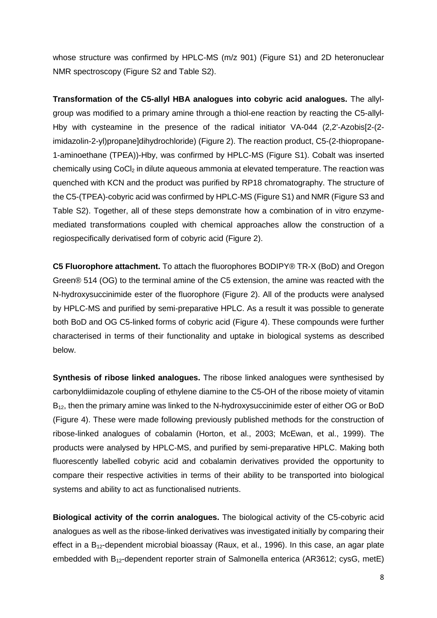whose structure was confirmed by HPLC-MS (m/z 901) (Figure S1) and 2D heteronuclear NMR spectroscopy (Figure S2 and Table S2).

**Transformation of the C5-allyl HBA analogues into cobyric acid analogues.** The allylgroup was modified to a primary amine through a thiol-ene reaction by reacting the C5-allyl-Hby with cysteamine in the presence of the radical initiator VA-044 (2,2'-Azobis[2-(2 imidazolin-2-yl)propane]dihydrochloride) (Figure 2). The reaction product, C5-(2-thiopropane-1-aminoethane (TPEA))-Hby, was confirmed by HPLC-MS (Figure S1). Cobalt was inserted chemically using CoCl<sub>2</sub> in dilute aqueous ammonia at elevated temperature. The reaction was quenched with KCN and the product was purified by RP18 chromatography. The structure of the C5-(TPEA)-cobyric acid was confirmed by HPLC-MS (Figure S1) and NMR (Figure S3 and Table S2). Together, all of these steps demonstrate how a combination of in vitro enzymemediated transformations coupled with chemical approaches allow the construction of a regiospecifically derivatised form of cobyric acid (Figure 2).

**C5 Fluorophore attachment.** To attach the fluorophores BODIPY® TR-X (BoD) and Oregon Green® 514 (OG) to the terminal amine of the C5 extension, the amine was reacted with the N-hydroxysuccinimide ester of the fluorophore (Figure 2). All of the products were analysed by HPLC-MS and purified by semi-preparative HPLC. As a result it was possible to generate both BoD and OG C5-linked forms of cobyric acid (Figure 4). These compounds were further characterised in terms of their functionality and uptake in biological systems as described below.

**Synthesis of ribose linked analogues.** The ribose linked analogues were synthesised by carbonyldiimidazole coupling of ethylene diamine to the C5-OH of the ribose moiety of vitamin B<sub>12</sub>, then the primary amine was linked to the N-hydroxysuccinimide ester of either OG or BoD (Figure 4). These were made following previously published methods for the construction of ribose-linked analogues of cobalamin (Horton, et al., 2003; McEwan, et al., 1999). The products were analysed by HPLC-MS, and purified by semi-preparative HPLC. Making both fluorescently labelled cobyric acid and cobalamin derivatives provided the opportunity to compare their respective activities in terms of their ability to be transported into biological systems and ability to act as functionalised nutrients.

**Biological activity of the corrin analogues.** The biological activity of the C5-cobyric acid analogues as well as the ribose-linked derivatives was investigated initially by comparing their effect in a  $B_{12}$ -dependent microbial bioassay (Raux, et al., 1996). In this case, an agar plate embedded with B12-dependent reporter strain of Salmonella enterica (AR3612; cysG, metE)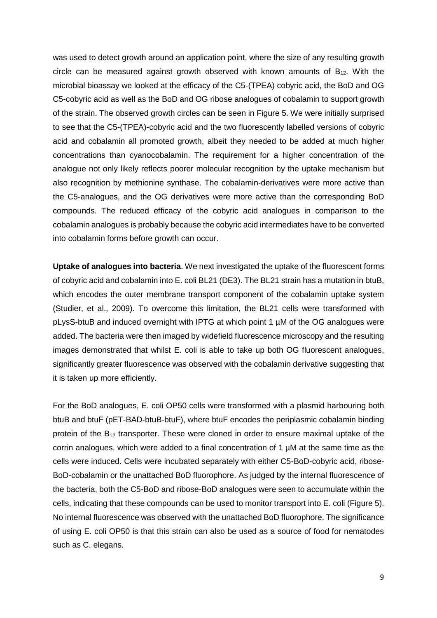was used to detect growth around an application point, where the size of any resulting growth circle can be measured against growth observed with known amounts of  $B_{12}$ . With the microbial bioassay we looked at the efficacy of the C5-(TPEA) cobyric acid, the BoD and OG C5-cobyric acid as well as the BoD and OG ribose analogues of cobalamin to support growth of the strain. The observed growth circles can be seen in Figure 5. We were initially surprised to see that the C5-(TPEA)-cobyric acid and the two fluorescently labelled versions of cobyric acid and cobalamin all promoted growth, albeit they needed to be added at much higher concentrations than cyanocobalamin. The requirement for a higher concentration of the analogue not only likely reflects poorer molecular recognition by the uptake mechanism but also recognition by methionine synthase. The cobalamin-derivatives were more active than the C5-analogues, and the OG derivatives were more active than the corresponding BoD compounds. The reduced efficacy of the cobyric acid analogues in comparison to the cobalamin analogues is probably because the cobyric acid intermediates have to be converted into cobalamin forms before growth can occur.

**Uptake of analogues into bacteria**. We next investigated the uptake of the fluorescent forms of cobyric acid and cobalamin into E. coli BL21 (DE3). The BL21 strain has a mutation in btuB, which encodes the outer membrane transport component of the cobalamin uptake system (Studier, et al., 2009). To overcome this limitation, the BL21 cells were transformed with pLysS-btuB and induced overnight with IPTG at which point 1 µM of the OG analogues were added. The bacteria were then imaged by widefield fluorescence microscopy and the resulting images demonstrated that whilst E. coli is able to take up both OG fluorescent analogues, significantly greater fluorescence was observed with the cobalamin derivative suggesting that it is taken up more efficiently.

For the BoD analogues, E. coli OP50 cells were transformed with a plasmid harbouring both btuB and btuF (pET-BAD-btuB-btuF), where btuF encodes the periplasmic cobalamin binding protein of the  $B_{12}$  transporter. These were cloned in order to ensure maximal uptake of the corrin analogues, which were added to a final concentration of 1 µM at the same time as the cells were induced. Cells were incubated separately with either C5-BoD-cobyric acid, ribose-BoD-cobalamin or the unattached BoD fluorophore. As judged by the internal fluorescence of the bacteria, both the C5-BoD and ribose-BoD analogues were seen to accumulate within the cells, indicating that these compounds can be used to monitor transport into E. coli (Figure 5). No internal fluorescence was observed with the unattached BoD fluorophore. The significance of using E. coli OP50 is that this strain can also be used as a source of food for nematodes such as C. elegans.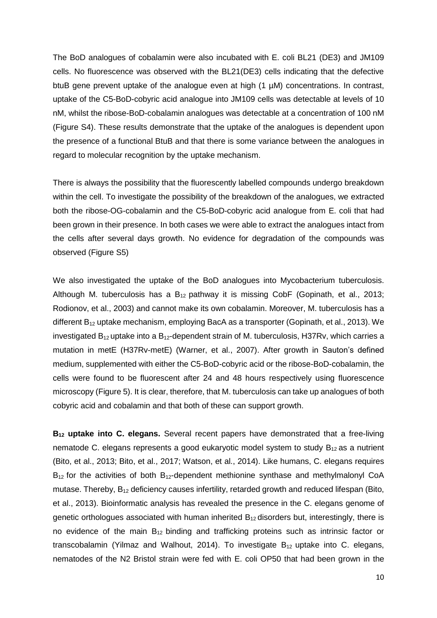The BoD analogues of cobalamin were also incubated with E. coli BL21 (DE3) and JM109 cells. No fluorescence was observed with the BL21(DE3) cells indicating that the defective btuB gene prevent uptake of the analogue even at high (1 µM) concentrations. In contrast, uptake of the C5-BoD-cobyric acid analogue into JM109 cells was detectable at levels of 10 nM, whilst the ribose-BoD-cobalamin analogues was detectable at a concentration of 100 nM (Figure S4). These results demonstrate that the uptake of the analogues is dependent upon the presence of a functional BtuB and that there is some variance between the analogues in regard to molecular recognition by the uptake mechanism.

There is always the possibility that the fluorescently labelled compounds undergo breakdown within the cell. To investigate the possibility of the breakdown of the analogues, we extracted both the ribose-OG-cobalamin and the C5-BoD-cobyric acid analogue from E. coli that had been grown in their presence. In both cases we were able to extract the analogues intact from the cells after several days growth. No evidence for degradation of the compounds was observed (Figure S5)

We also investigated the uptake of the BoD analogues into Mycobacterium tuberculosis. Although M. tuberculosis has a  $B_{12}$  pathway it is missing CobF (Gopinath, et al., 2013; Rodionov, et al., 2003) and cannot make its own cobalamin. Moreover, M. tuberculosis has a different B<sub>12</sub> uptake mechanism, employing BacA as a transporter (Gopinath, et al., 2013). We investigated  $B_{12}$  uptake into a  $B_{12}$ -dependent strain of M. tuberculosis, H37Rv, which carries a mutation in metE (H37Rv-metE) (Warner, et al., 2007). After growth in Sauton's defined medium, supplemented with either the C5-BoD-cobyric acid or the ribose-BoD-cobalamin, the cells were found to be fluorescent after 24 and 48 hours respectively using fluorescence microscopy (Figure 5). It is clear, therefore, that M. tuberculosis can take up analogues of both cobyric acid and cobalamin and that both of these can support growth.

**B12 uptake into C. elegans.** Several recent papers have demonstrated that a free-living nematode C. elegans represents a good eukaryotic model system to study  $B_{12}$  as a nutrient (Bito, et al., 2013; Bito, et al., 2017; Watson, et al., 2014). Like humans, C. elegans requires  $B_{12}$  for the activities of both  $B_{12}$ -dependent methionine synthase and methylmalonyl CoA mutase. Thereby, B<sub>12</sub> deficiency causes infertility, retarded growth and reduced lifespan (Bito, et al., 2013). Bioinformatic analysis has revealed the presence in the C. elegans genome of genetic orthologues associated with human inherited  $B_{12}$  disorders but, interestingly, there is no evidence of the main  $B_{12}$  binding and trafficking proteins such as intrinsic factor or transcobalamin (Yilmaz and Walhout, 2014). To investigate  $B_{12}$  uptake into C. elegans, nematodes of the N2 Bristol strain were fed with E. coli OP50 that had been grown in the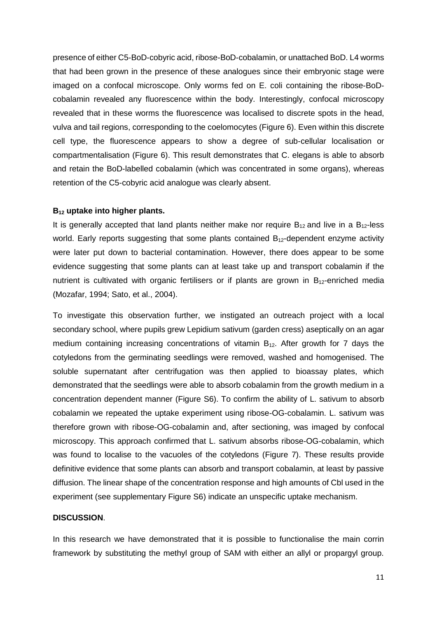presence of either C5-BoD-cobyric acid, ribose-BoD-cobalamin, or unattached BoD. L4 worms that had been grown in the presence of these analogues since their embryonic stage were imaged on a confocal microscope. Only worms fed on E. coli containing the ribose-BoDcobalamin revealed any fluorescence within the body. Interestingly, confocal microscopy revealed that in these worms the fluorescence was localised to discrete spots in the head, vulva and tail regions, corresponding to the coelomocytes (Figure 6). Even within this discrete cell type, the fluorescence appears to show a degree of sub-cellular localisation or compartmentalisation (Figure 6). This result demonstrates that C. elegans is able to absorb and retain the BoD-labelled cobalamin (which was concentrated in some organs), whereas retention of the C5-cobyric acid analogue was clearly absent.

#### **B12 uptake into higher plants.**

It is generally accepted that land plants neither make nor require  $B_{12}$  and live in a  $B_{12}$ -less world. Early reports suggesting that some plants contained  $B_{12}$ -dependent enzyme activity were later put down to bacterial contamination. However, there does appear to be some evidence suggesting that some plants can at least take up and transport cobalamin if the nutrient is cultivated with organic fertilisers or if plants are grown in  $B_{12}$ -enriched media (Mozafar, 1994; Sato, et al., 2004).

To investigate this observation further, we instigated an outreach project with a local secondary school, where pupils grew Lepidium sativum (garden cress) aseptically on an agar medium containing increasing concentrations of vitamin  $B_{12}$ . After growth for 7 days the cotyledons from the germinating seedlings were removed, washed and homogenised. The soluble supernatant after centrifugation was then applied to bioassay plates, which demonstrated that the seedlings were able to absorb cobalamin from the growth medium in a concentration dependent manner (Figure S6). To confirm the ability of L. sativum to absorb cobalamin we repeated the uptake experiment using ribose-OG-cobalamin. L. sativum was therefore grown with ribose-OG-cobalamin and, after sectioning, was imaged by confocal microscopy. This approach confirmed that L. sativum absorbs ribose-OG-cobalamin, which was found to localise to the vacuoles of the cotyledons (Figure 7). These results provide definitive evidence that some plants can absorb and transport cobalamin, at least by passive diffusion. The linear shape of the concentration response and high amounts of Cbl used in the experiment (see supplementary Figure S6) indicate an unspecific uptake mechanism.

#### **DISCUSSION**.

In this research we have demonstrated that it is possible to functionalise the main corrin framework by substituting the methyl group of SAM with either an allyl or propargyl group.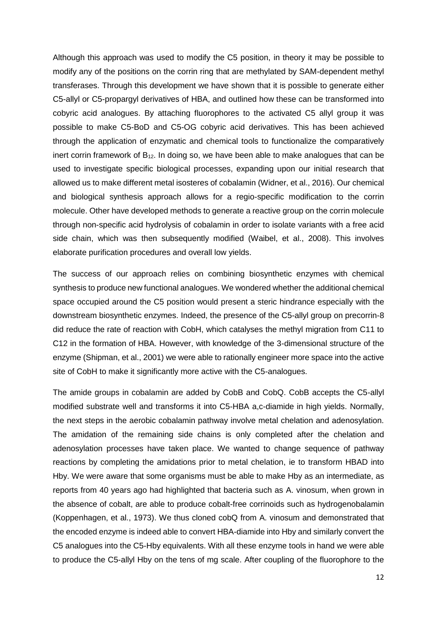Although this approach was used to modify the C5 position, in theory it may be possible to modify any of the positions on the corrin ring that are methylated by SAM-dependent methyl transferases. Through this development we have shown that it is possible to generate either C5-allyl or C5-propargyl derivatives of HBA, and outlined how these can be transformed into cobyric acid analogues. By attaching fluorophores to the activated C5 allyl group it was possible to make C5-BoD and C5-OG cobyric acid derivatives. This has been achieved through the application of enzymatic and chemical tools to functionalize the comparatively inert corrin framework of  $B_{12}$ . In doing so, we have been able to make analogues that can be used to investigate specific biological processes, expanding upon our initial research that allowed us to make different metal isosteres of cobalamin (Widner, et al., 2016). Our chemical and biological synthesis approach allows for a regio-specific modification to the corrin molecule. Other have developed methods to generate a reactive group on the corrin molecule through non-specific acid hydrolysis of cobalamin in order to isolate variants with a free acid side chain, which was then subsequently modified (Waibel, et al., 2008). This involves elaborate purification procedures and overall low yields.

The success of our approach relies on combining biosynthetic enzymes with chemical synthesis to produce new functional analogues. We wondered whether the additional chemical space occupied around the C5 position would present a steric hindrance especially with the downstream biosynthetic enzymes. Indeed, the presence of the C5-allyl group on precorrin-8 did reduce the rate of reaction with CobH, which catalyses the methyl migration from C11 to C12 in the formation of HBA. However, with knowledge of the 3-dimensional structure of the enzyme (Shipman, et al., 2001) we were able to rationally engineer more space into the active site of CobH to make it significantly more active with the C5-analogues.

The amide groups in cobalamin are added by CobB and CobQ. CobB accepts the C5-allyl modified substrate well and transforms it into C5-HBA a,c-diamide in high yields. Normally, the next steps in the aerobic cobalamin pathway involve metal chelation and adenosylation. The amidation of the remaining side chains is only completed after the chelation and adenosylation processes have taken place. We wanted to change sequence of pathway reactions by completing the amidations prior to metal chelation, ie to transform HBAD into Hby. We were aware that some organisms must be able to make Hby as an intermediate, as reports from 40 years ago had highlighted that bacteria such as A. vinosum, when grown in the absence of cobalt, are able to produce cobalt-free corrinoids such as hydrogenobalamin (Koppenhagen, et al., 1973). We thus cloned cobQ from A. vinosum and demonstrated that the encoded enzyme is indeed able to convert HBA-diamide into Hby and similarly convert the C5 analogues into the C5-Hby equivalents. With all these enzyme tools in hand we were able to produce the C5-allyl Hby on the tens of mg scale. After coupling of the fluorophore to the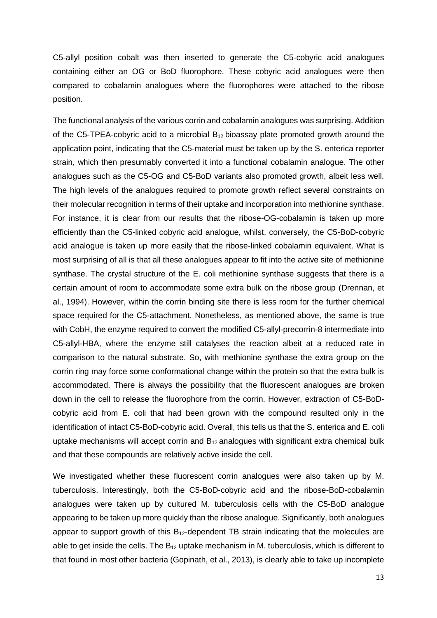C5-allyl position cobalt was then inserted to generate the C5-cobyric acid analogues containing either an OG or BoD fluorophore. These cobyric acid analogues were then compared to cobalamin analogues where the fluorophores were attached to the ribose position.

The functional analysis of the various corrin and cobalamin analogues was surprising. Addition of the C5-TPEA-cobyric acid to a microbial  $B_{12}$  bioassay plate promoted growth around the application point, indicating that the C5-material must be taken up by the S. enterica reporter strain, which then presumably converted it into a functional cobalamin analogue. The other analogues such as the C5-OG and C5-BoD variants also promoted growth, albeit less well. The high levels of the analogues required to promote growth reflect several constraints on their molecular recognition in terms of their uptake and incorporation into methionine synthase. For instance, it is clear from our results that the ribose-OG-cobalamin is taken up more efficiently than the C5-linked cobyric acid analogue, whilst, conversely, the C5-BoD-cobyric acid analogue is taken up more easily that the ribose-linked cobalamin equivalent. What is most surprising of all is that all these analogues appear to fit into the active site of methionine synthase. The crystal structure of the E. coli methionine synthase suggests that there is a certain amount of room to accommodate some extra bulk on the ribose group (Drennan, et al., 1994). However, within the corrin binding site there is less room for the further chemical space required for the C5-attachment. Nonetheless, as mentioned above, the same is true with CobH, the enzyme required to convert the modified C5-allyl-precorrin-8 intermediate into C5-allyl-HBA, where the enzyme still catalyses the reaction albeit at a reduced rate in comparison to the natural substrate. So, with methionine synthase the extra group on the corrin ring may force some conformational change within the protein so that the extra bulk is accommodated. There is always the possibility that the fluorescent analogues are broken down in the cell to release the fluorophore from the corrin. However, extraction of C5-BoDcobyric acid from E. coli that had been grown with the compound resulted only in the identification of intact C5-BoD-cobyric acid. Overall, this tells us that the S. enterica and E. coli uptake mechanisms will accept corrin and  $B_{12}$  analogues with significant extra chemical bulk and that these compounds are relatively active inside the cell.

We investigated whether these fluorescent corrin analogues were also taken up by M. tuberculosis. Interestingly, both the C5-BoD-cobyric acid and the ribose-BoD-cobalamin analogues were taken up by cultured M. tuberculosis cells with the C5-BoD analogue appearing to be taken up more quickly than the ribose analogue. Significantly, both analogues appear to support growth of this  $B_{12}$ -dependent TB strain indicating that the molecules are able to get inside the cells. The  $B_{12}$  uptake mechanism in M. tuberculosis, which is different to that found in most other bacteria (Gopinath, et al., 2013), is clearly able to take up incomplete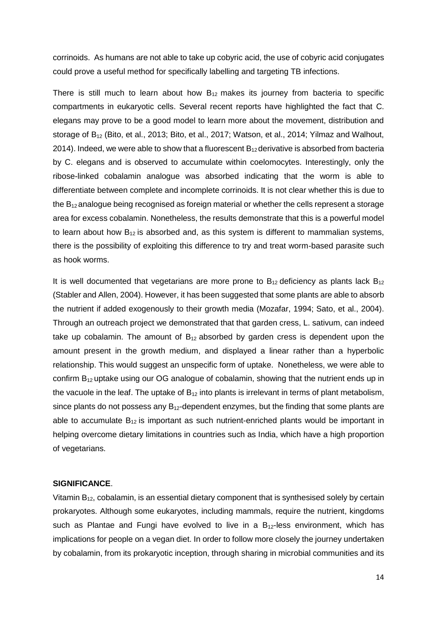corrinoids. As humans are not able to take up cobyric acid, the use of cobyric acid conjugates could prove a useful method for specifically labelling and targeting TB infections.

There is still much to learn about how  $B_{12}$  makes its journey from bacteria to specific compartments in eukaryotic cells. Several recent reports have highlighted the fact that C. elegans may prove to be a good model to learn more about the movement, distribution and storage of B12 (Bito, et al., 2013; Bito, et al., 2017; Watson, et al., 2014; Yilmaz and Walhout, 2014). Indeed, we were able to show that a fluorescent  $B_{12}$  derivative is absorbed from bacteria by C. elegans and is observed to accumulate within coelomocytes. Interestingly, only the ribose-linked cobalamin analogue was absorbed indicating that the worm is able to differentiate between complete and incomplete corrinoids. It is not clear whether this is due to the  $B_{12}$  analogue being recognised as foreign material or whether the cells represent a storage area for excess cobalamin. Nonetheless, the results demonstrate that this is a powerful model to learn about how  $B_{12}$  is absorbed and, as this system is different to mammalian systems, there is the possibility of exploiting this difference to try and treat worm-based parasite such as hook worms.

It is well documented that vegetarians are more prone to  $B_{12}$  deficiency as plants lack  $B_{12}$ (Stabler and Allen, 2004). However, it has been suggested that some plants are able to absorb the nutrient if added exogenously to their growth media (Mozafar, 1994; Sato, et al., 2004). Through an outreach project we demonstrated that that garden cress, L. sativum, can indeed take up cobalamin. The amount of  $B_{12}$  absorbed by garden cress is dependent upon the amount present in the growth medium, and displayed a linear rather than a hyperbolic relationship. This would suggest an unspecific form of uptake. Nonetheless, we were able to confirm  $B_{12}$  uptake using our OG analogue of cobalamin, showing that the nutrient ends up in the vacuole in the leaf. The uptake of  $B_{12}$  into plants is irrelevant in terms of plant metabolism, since plants do not possess any  $B_{12}$ -dependent enzymes, but the finding that some plants are able to accumulate  $B_{12}$  is important as such nutrient-enriched plants would be important in helping overcome dietary limitations in countries such as India, which have a high proportion of vegetarians.

#### **SIGNIFICANCE**.

Vitamin  $B_{12}$ , cobalamin, is an essential dietary component that is synthesised solely by certain prokaryotes. Although some eukaryotes, including mammals, require the nutrient, kingdoms such as Plantae and Fungi have evolved to live in a  $B_{12}$ -less environment, which has implications for people on a vegan diet. In order to follow more closely the journey undertaken by cobalamin, from its prokaryotic inception, through sharing in microbial communities and its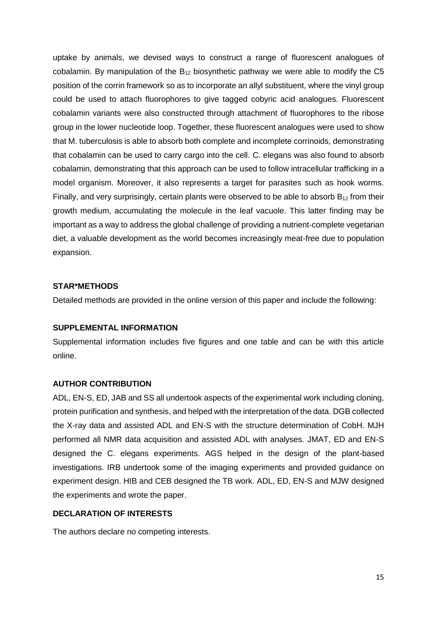uptake by animals, we devised ways to construct a range of fluorescent analogues of cobalamin. By manipulation of the  $B_{12}$  biosynthetic pathway we were able to modify the C5 position of the corrin framework so as to incorporate an allyl substituent, where the vinyl group could be used to attach fluorophores to give tagged cobyric acid analogues. Fluorescent cobalamin variants were also constructed through attachment of fluorophores to the ribose group in the lower nucleotide loop. Together, these fluorescent analogues were used to show that M. tuberculosis is able to absorb both complete and incomplete corrinoids, demonstrating that cobalamin can be used to carry cargo into the cell. C. elegans was also found to absorb cobalamin, demonstrating that this approach can be used to follow intracellular trafficking in a model organism. Moreover, it also represents a target for parasites such as hook worms. Finally, and very surprisingly, certain plants were observed to be able to absorb  $B_{12}$  from their growth medium, accumulating the molecule in the leaf vacuole. This latter finding may be important as a way to address the global challenge of providing a nutrient-complete vegetarian diet, a valuable development as the world becomes increasingly meat-free due to population expansion.

#### **STAR\*METHODS**

Detailed methods are provided in the online version of this paper and include the following:

#### **SUPPLEMENTAL INFORMATION**

Supplemental information includes five figures and one table and can be with this article online.

#### **AUTHOR CONTRIBUTION**

ADL, EN-S, ED, JAB and SS all undertook aspects of the experimental work including cloning, protein purification and synthesis, and helped with the interpretation of the data. DGB collected the X-ray data and assisted ADL and EN-S with the structure determination of CobH. MJH performed all NMR data acquisition and assisted ADL with analyses. JMAT, ED and EN-S designed the C. elegans experiments. AGS helped in the design of the plant-based investigations. IRB undertook some of the imaging experiments and provided guidance on experiment design. HIB and CEB designed the TB work. ADL, ED, EN-S and MJW designed the experiments and wrote the paper.

#### **DECLARATION OF INTERESTS**

The authors declare no competing interests.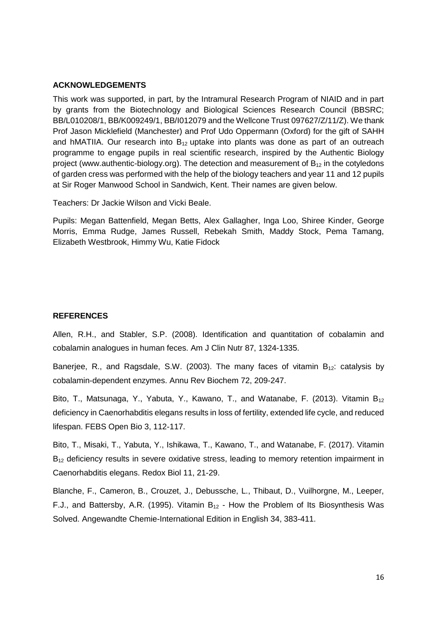#### **ACKNOWLEDGEMENTS**

This work was supported, in part, by the Intramural Research Program of NIAID and in part by grants from the Biotechnology and Biological Sciences Research Council (BBSRC; BB/L010208/1, BB/K009249/1, BB/I012079 and the Wellcone Trust 097627/Z/11/Z). We thank Prof Jason Micklefield (Manchester) and Prof Udo Oppermann (Oxford) for the gift of SAHH and hMATIIA. Our research into  $B_{12}$  uptake into plants was done as part of an outreach programme to engage pupils in real scientific research, inspired by the Authentic Biology project (www.authentic-biology.org). The detection and measurement of  $B_{12}$  in the cotyledons of garden cress was performed with the help of the biology teachers and year 11 and 12 pupils at Sir Roger Manwood School in Sandwich, Kent. Their names are given below.

Teachers: Dr Jackie Wilson and Vicki Beale.

Pupils: Megan Battenfield, Megan Betts, Alex Gallagher, Inga Loo, Shiree Kinder, George Morris, Emma Rudge, James Russell, Rebekah Smith, Maddy Stock, Pema Tamang, Elizabeth Westbrook, Himmy Wu, Katie Fidock

#### **REFERENCES**

Allen, R.H., and Stabler, S.P. (2008). Identification and quantitation of cobalamin and cobalamin analogues in human feces. Am J Clin Nutr 87, 1324-1335.

Banerjee, R., and Ragsdale, S.W. (2003). The many faces of vitamin  $B_{12}$ : catalysis by cobalamin-dependent enzymes. Annu Rev Biochem 72, 209-247.

Bito, T., Matsunaga, Y., Yabuta, Y., Kawano, T., and Watanabe, F. (2013). Vitamin  $B_{12}$ deficiency in Caenorhabditis elegans results in loss of fertility, extended life cycle, and reduced lifespan. FEBS Open Bio 3, 112-117.

Bito, T., Misaki, T., Yabuta, Y., Ishikawa, T., Kawano, T., and Watanabe, F. (2017). Vitamin  $B_{12}$  deficiency results in severe oxidative stress, leading to memory retention impairment in Caenorhabditis elegans. Redox Biol 11, 21-29.

Blanche, F., Cameron, B., Crouzet, J., Debussche, L., Thibaut, D., Vuilhorgne, M., Leeper, F.J., and Battersby, A.R. (1995). Vitamin  $B_{12}$  - How the Problem of Its Biosynthesis Was Solved. Angewandte Chemie-International Edition in English 34, 383-411.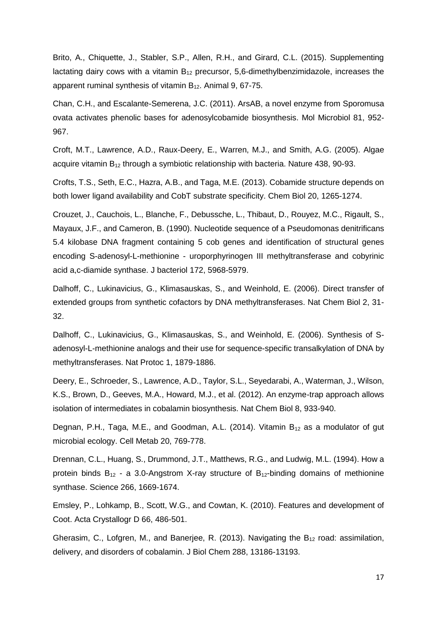Brito, A., Chiquette, J., Stabler, S.P., Allen, R.H., and Girard, C.L. (2015). Supplementing lactating dairy cows with a vitamin  $B_{12}$  precursor, 5,6-dimethylbenzimidazole, increases the apparent ruminal synthesis of vitamin  $B_{12}$ . Animal 9, 67-75.

Chan, C.H., and Escalante-Semerena, J.C. (2011). ArsAB, a novel enzyme from Sporomusa ovata activates phenolic bases for adenosylcobamide biosynthesis. Mol Microbiol 81, 952- 967.

Croft, M.T., Lawrence, A.D., Raux-Deery, E., Warren, M.J., and Smith, A.G. (2005). Algae acquire vitamin  $B_{12}$  through a symbiotic relationship with bacteria. Nature 438, 90-93.

Crofts, T.S., Seth, E.C., Hazra, A.B., and Taga, M.E. (2013). Cobamide structure depends on both lower ligand availability and CobT substrate specificity. Chem Biol 20, 1265-1274.

Crouzet, J., Cauchois, L., Blanche, F., Debussche, L., Thibaut, D., Rouyez, M.C., Rigault, S., Mayaux, J.F., and Cameron, B. (1990). Nucleotide sequence of a Pseudomonas denitrificans 5.4 kilobase DNA fragment containing 5 cob genes and identification of structural genes encoding S-adenosyl-L-methionine - uroporphyrinogen III methyltransferase and cobyrinic acid a,c-diamide synthase. J bacteriol 172, 5968-5979.

Dalhoff, C., Lukinavicius, G., Klimasauskas, S., and Weinhold, E. (2006). Direct transfer of extended groups from synthetic cofactors by DNA methyltransferases. Nat Chem Biol 2, 31- 32.

Dalhoff, C., Lukinavicius, G., Klimasauskas, S., and Weinhold, E. (2006). Synthesis of Sadenosyl-L-methionine analogs and their use for sequence-specific transalkylation of DNA by methyltransferases. Nat Protoc 1, 1879-1886.

Deery, E., Schroeder, S., Lawrence, A.D., Taylor, S.L., Seyedarabi, A., Waterman, J., Wilson, K.S., Brown, D., Geeves, M.A., Howard, M.J., et al. (2012). An enzyme-trap approach allows isolation of intermediates in cobalamin biosynthesis. Nat Chem Biol 8, 933-940.

Degnan, P.H., Taga, M.E., and Goodman, A.L. (2014). Vitamin  $B_{12}$  as a modulator of gut microbial ecology. Cell Metab 20, 769-778.

Drennan, C.L., Huang, S., Drummond, J.T., Matthews, R.G., and Ludwig, M.L. (1994). How a protein binds  $B_{12}$  - a 3.0-Angstrom X-ray structure of  $B_{12}$ -binding domains of methionine synthase. Science 266, 1669-1674.

Emsley, P., Lohkamp, B., Scott, W.G., and Cowtan, K. (2010). Features and development of Coot. Acta Crystallogr D 66, 486-501.

Gherasim, C., Lofgren, M., and Banerjee, R. (2013). Navigating the  $B_{12}$  road: assimilation, delivery, and disorders of cobalamin. J Biol Chem 288, 13186-13193.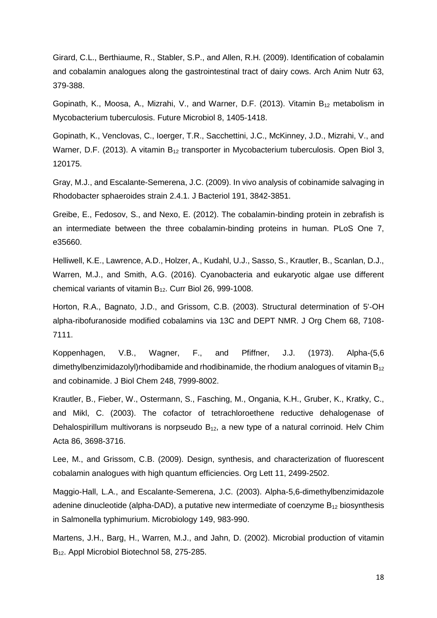Girard, C.L., Berthiaume, R., Stabler, S.P., and Allen, R.H. (2009). Identification of cobalamin and cobalamin analogues along the gastrointestinal tract of dairy cows. Arch Anim Nutr 63, 379-388.

Gopinath, K., Moosa, A., Mizrahi, V., and Warner, D.F. (2013). Vitamin  $B_{12}$  metabolism in Mycobacterium tuberculosis. Future Microbiol 8, 1405-1418.

Gopinath, K., Venclovas, C., Ioerger, T.R., Sacchettini, J.C., McKinney, J.D., Mizrahi, V., and Warner, D.F. (2013). A vitamin  $B_{12}$  transporter in Mycobacterium tuberculosis. Open Biol 3, 120175.

Gray, M.J., and Escalante-Semerena, J.C. (2009). In vivo analysis of cobinamide salvaging in Rhodobacter sphaeroides strain 2.4.1. J Bacteriol 191, 3842-3851.

Greibe, E., Fedosov, S., and Nexo, E. (2012). The cobalamin-binding protein in zebrafish is an intermediate between the three cobalamin-binding proteins in human. PLoS One 7, e35660.

Helliwell, K.E., Lawrence, A.D., Holzer, A., Kudahl, U.J., Sasso, S., Krautler, B., Scanlan, D.J., Warren, M.J., and Smith, A.G. (2016). Cyanobacteria and eukaryotic algae use different chemical variants of vitamin B12. Curr Biol 26, 999-1008.

Horton, R.A., Bagnato, J.D., and Grissom, C.B. (2003). Structural determination of 5'-OH alpha-ribofuranoside modified cobalamins via 13C and DEPT NMR. J Org Chem 68, 7108- 7111.

Koppenhagen, V.B., Wagner, F., and Pfiffner, J.J. (1973). Alpha-(5,6 dimethylbenzimidazolyl)rhodibamide and rhodibinamide, the rhodium analogues of vitamin  $B_{12}$ and cobinamide. J Biol Chem 248, 7999-8002.

Krautler, B., Fieber, W., Ostermann, S., Fasching, M., Ongania, K.H., Gruber, K., Kratky, C., and Mikl, C. (2003). The cofactor of tetrachloroethene reductive dehalogenase of Dehalospirillum multivorans is norpseudo  $B_{12}$ , a new type of a natural corrinoid. Helv Chim Acta 86, 3698-3716.

Lee, M., and Grissom, C.B. (2009). Design, synthesis, and characterization of fluorescent cobalamin analogues with high quantum efficiencies. Org Lett 11, 2499-2502.

Maggio-Hall, L.A., and Escalante-Semerena, J.C. (2003). Alpha-5,6-dimethylbenzimidazole adenine dinucleotide (alpha-DAD), a putative new intermediate of coenzyme  $B_{12}$  biosynthesis in Salmonella typhimurium. Microbiology 149, 983-990.

Martens, J.H., Barg, H., Warren, M.J., and Jahn, D. (2002). Microbial production of vitamin B12. Appl Microbiol Biotechnol 58, 275-285.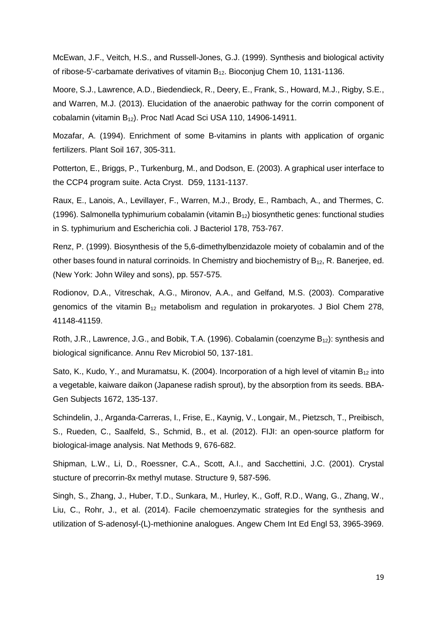McEwan, J.F., Veitch, H.S., and Russell-Jones, G.J. (1999). Synthesis and biological activity of ribose-5'-carbamate derivatives of vitamin B12. Bioconjug Chem 10, 1131-1136.

Moore, S.J., Lawrence, A.D., Biedendieck, R., Deery, E., Frank, S., Howard, M.J., Rigby, S.E., and Warren, M.J. (2013). Elucidation of the anaerobic pathway for the corrin component of cobalamin (vitamin B12). Proc Natl Acad Sci USA 110, 14906-14911.

Mozafar, A. (1994). Enrichment of some B-vitamins in plants with application of organic fertilizers. Plant Soil 167, 305-311.

Potterton, E., Briggs, P., Turkenburg, M., and Dodson, E. (2003). A graphical user interface to the CCP4 program suite. Acta Cryst. D59, 1131-1137.

Raux, E., Lanois, A., Levillayer, F., Warren, M.J., Brody, E., Rambach, A., and Thermes, C. (1996). Salmonella typhimurium cobalamin (vitamin B12) biosynthetic genes: functional studies in S. typhimurium and Escherichia coli. J Bacteriol 178, 753-767.

Renz, P. (1999). Biosynthesis of the 5,6-dimethylbenzidazole moiety of cobalamin and of the other bases found in natural corrinoids. In Chemistry and biochemistry of  $B_{12}$ , R. Banerjee, ed. (New York: John Wiley and sons), pp. 557-575.

Rodionov, D.A., Vitreschak, A.G., Mironov, A.A., and Gelfand, M.S. (2003). Comparative genomics of the vitamin  $B_{12}$  metabolism and regulation in prokaryotes. J Biol Chem 278, 41148-41159.

Roth, J.R., Lawrence, J.G., and Bobik, T.A. (1996). Cobalamin (coenzyme  $B_{12}$ ): synthesis and biological significance. Annu Rev Microbiol 50, 137-181.

Sato, K., Kudo, Y., and Muramatsu, K. (2004). Incorporation of a high level of vitamin  $B_{12}$  into a vegetable, kaiware daikon (Japanese radish sprout), by the absorption from its seeds. BBA-Gen Subjects 1672, 135-137.

Schindelin, J., Arganda-Carreras, I., Frise, E., Kaynig, V., Longair, M., Pietzsch, T., Preibisch, S., Rueden, C., Saalfeld, S., Schmid, B., et al. (2012). FIJI: an open-source platform for biological-image analysis. Nat Methods 9, 676-682.

Shipman, L.W., Li, D., Roessner, C.A., Scott, A.I., and Sacchettini, J.C. (2001). Crystal stucture of precorrin-8x methyl mutase. Structure 9, 587-596.

Singh, S., Zhang, J., Huber, T.D., Sunkara, M., Hurley, K., Goff, R.D., Wang, G., Zhang, W., Liu, C., Rohr, J., et al. (2014). Facile chemoenzymatic strategies for the synthesis and utilization of S-adenosyl-(L)-methionine analogues. Angew Chem Int Ed Engl 53, 3965-3969.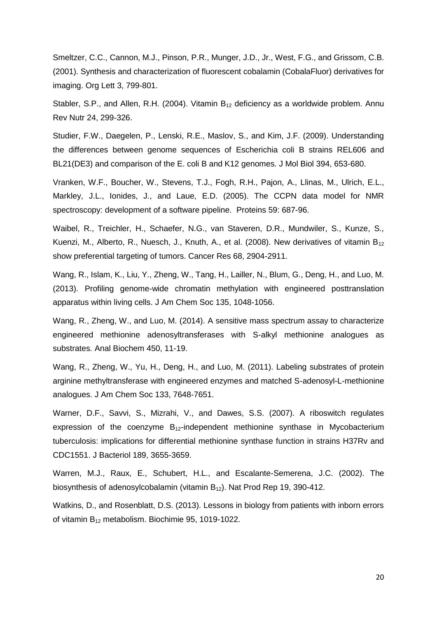Smeltzer, C.C., Cannon, M.J., Pinson, P.R., Munger, J.D., Jr., West, F.G., and Grissom, C.B. (2001). Synthesis and characterization of fluorescent cobalamin (CobalaFluor) derivatives for imaging. Org Lett 3, 799-801.

Stabler, S.P., and Allen, R.H. (2004). Vitamin  $B_{12}$  deficiency as a worldwide problem. Annu Rev Nutr 24, 299-326.

Studier, F.W., Daegelen, P., Lenski, R.E., Maslov, S., and Kim, J.F. (2009). Understanding the differences between genome sequences of Escherichia coli B strains REL606 and BL21(DE3) and comparison of the E. coli B and K12 genomes. J Mol Biol 394, 653-680.

Vranken, W.F., Boucher, W., Stevens, T.J., Fogh, R.H., Pajon, A., Llinas, M., Ulrich, E.L., Markley, J.L., Ionides, J., and Laue, E.D. (2005). The CCPN data model for NMR spectroscopy: development of a software pipeline. Proteins 59: 687-96.

Waibel, R., Treichler, H., Schaefer, N.G., van Staveren, D.R., Mundwiler, S., Kunze, S., Kuenzi, M., Alberto, R., Nuesch, J., Knuth, A., et al. (2008). New derivatives of vitamin  $B_{12}$ show preferential targeting of tumors. Cancer Res 68, 2904-2911.

Wang, R., Islam, K., Liu, Y., Zheng, W., Tang, H., Lailler, N., Blum, G., Deng, H., and Luo, M. (2013). Profiling genome-wide chromatin methylation with engineered posttranslation apparatus within living cells. J Am Chem Soc 135, 1048-1056.

Wang, R., Zheng, W., and Luo, M. (2014). A sensitive mass spectrum assay to characterize engineered methionine adenosyltransferases with S-alkyl methionine analogues as substrates. Anal Biochem 450, 11-19.

Wang, R., Zheng, W., Yu, H., Deng, H., and Luo, M. (2011). Labeling substrates of protein arginine methyltransferase with engineered enzymes and matched S-adenosyl-L-methionine analogues. J Am Chem Soc 133, 7648-7651.

Warner, D.F., Savvi, S., Mizrahi, V., and Dawes, S.S. (2007). A riboswitch regulates expression of the coenzyme  $B_{12}$ -independent methionine synthase in Mycobacterium tuberculosis: implications for differential methionine synthase function in strains H37Rv and CDC1551. J Bacteriol 189, 3655-3659.

Warren, M.J., Raux, E., Schubert, H.L., and Escalante-Semerena, J.C. (2002). The biosynthesis of adenosylcobalamin (vitamin B12). Nat Prod Rep 19, 390-412.

Watkins, D., and Rosenblatt, D.S. (2013). Lessons in biology from patients with inborn errors of vitamin B12 metabolism. Biochimie 95, 1019-1022.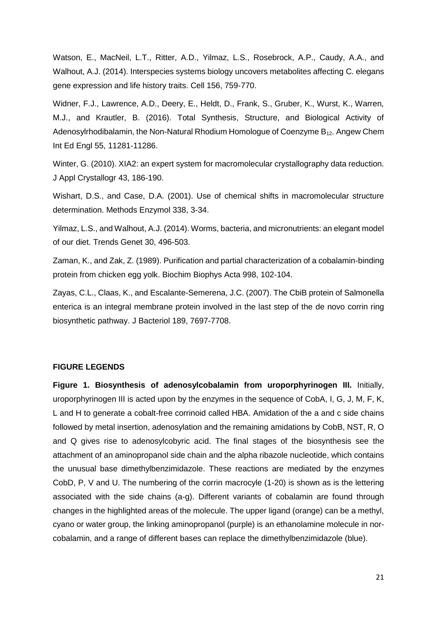Watson, E., MacNeil, L.T., Ritter, A.D., Yilmaz, L.S., Rosebrock, A.P., Caudy, A.A., and Walhout, A.J. (2014). Interspecies systems biology uncovers metabolites affecting C. elegans gene expression and life history traits. Cell 156, 759-770.

Widner, F.J., Lawrence, A.D., Deery, E., Heldt, D., Frank, S., Gruber, K., Wurst, K., Warren, M.J., and Krautler, B. (2016). Total Synthesis, Structure, and Biological Activity of Adenosylrhodibalamin, the Non-Natural Rhodium Homologue of Coenzyme  $B_{12}$ . Angew Chem Int Ed Engl 55, 11281-11286.

Winter, G. (2010). XIA2: an expert system for macromolecular crystallography data reduction. J Appl Crystallogr 43, 186-190.

Wishart, D.S., and Case, D.A. (2001). Use of chemical shifts in macromolecular structure determination. Methods Enzymol 338, 3-34.

Yilmaz, L.S., and Walhout, A.J. (2014). Worms, bacteria, and micronutrients: an elegant model of our diet. Trends Genet 30, 496-503.

Zaman, K., and Zak, Z. (1989). Purification and partial characterization of a cobalamin-binding protein from chicken egg yolk. Biochim Biophys Acta 998, 102-104.

Zayas, C.L., Claas, K., and Escalante-Semerena, J.C. (2007). The CbiB protein of Salmonella enterica is an integral membrane protein involved in the last step of the de novo corrin ring biosynthetic pathway. J Bacteriol 189, 7697-7708.

#### **FIGURE LEGENDS**

**Figure 1. Biosynthesis of adenosylcobalamin from uroporphyrinogen III.** Initially, uroporphyrinogen III is acted upon by the enzymes in the sequence of CobA, I, G, J, M, F, K, L and H to generate a cobalt-free corrinoid called HBA. Amidation of the a and c side chains followed by metal insertion, adenosylation and the remaining amidations by CobB, NST, R, O and Q gives rise to adenosylcobyric acid. The final stages of the biosynthesis see the attachment of an aminopropanol side chain and the alpha ribazole nucleotide, which contains the unusual base dimethylbenzimidazole. These reactions are mediated by the enzymes CobD, P, V and U. The numbering of the corrin macrocyle (1-20) is shown as is the lettering associated with the side chains (a-g). Different variants of cobalamin are found through changes in the highlighted areas of the molecule. The upper ligand (orange) can be a methyl, cyano or water group, the linking aminopropanol (purple) is an ethanolamine molecule in norcobalamin, and a range of different bases can replace the dimethylbenzimidazole (blue).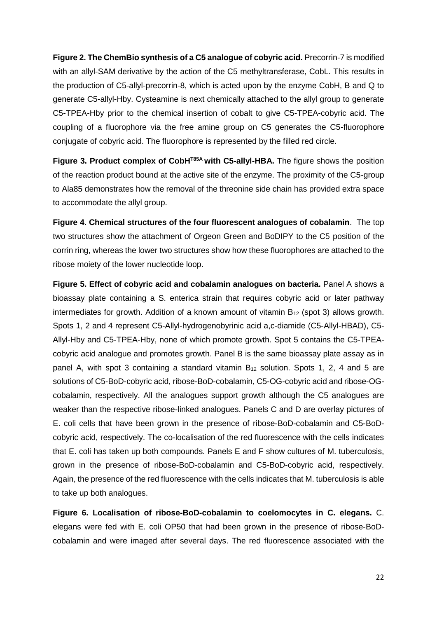**Figure 2. The ChemBio synthesis of a C5 analogue of cobyric acid.** Precorrin-7 is modified with an allyl-SAM derivative by the action of the C5 methyltransferase, CobL. This results in the production of C5-allyl-precorrin-8, which is acted upon by the enzyme CobH, B and Q to generate C5-allyl-Hby. Cysteamine is next chemically attached to the allyl group to generate C5-TPEA-Hby prior to the chemical insertion of cobalt to give C5-TPEA-cobyric acid. The coupling of a fluorophore via the free amine group on C5 generates the C5-fluorophore conjugate of cobyric acid. The fluorophore is represented by the filled red circle.

**Figure 3. Product complex of CobHT85A with C5-allyl-HBA.** The figure shows the position of the reaction product bound at the active site of the enzyme. The proximity of the C5-group to Ala85 demonstrates how the removal of the threonine side chain has provided extra space to accommodate the allyl group.

**Figure 4. Chemical structures of the four fluorescent analogues of cobalamin**. The top two structures show the attachment of Orgeon Green and BoDIPY to the C5 position of the corrin ring, whereas the lower two structures show how these fluorophores are attached to the ribose moiety of the lower nucleotide loop.

**Figure 5. Effect of cobyric acid and cobalamin analogues on bacteria.** Panel A shows a bioassay plate containing a S. enterica strain that requires cobyric acid or later pathway intermediates for growth. Addition of a known amount of vitamin  $B_{12}$  (spot 3) allows growth. Spots 1, 2 and 4 represent C5-Allyl-hydrogenobyrinic acid a,c-diamide (C5-Allyl-HBAD), C5- Allyl-Hby and C5-TPEA-Hby, none of which promote growth. Spot 5 contains the C5-TPEAcobyric acid analogue and promotes growth. Panel B is the same bioassay plate assay as in panel A, with spot 3 containing a standard vitamin  $B_{12}$  solution. Spots 1, 2, 4 and 5 are solutions of C5-BoD-cobyric acid, ribose-BoD-cobalamin, C5-OG-cobyric acid and ribose-OGcobalamin, respectively. All the analogues support growth although the C5 analogues are weaker than the respective ribose-linked analogues. Panels C and D are overlay pictures of E. coli cells that have been grown in the presence of ribose-BoD-cobalamin and C5-BoDcobyric acid, respectively. The co-localisation of the red fluorescence with the cells indicates that E. coli has taken up both compounds. Panels E and F show cultures of M. tuberculosis, grown in the presence of ribose-BoD-cobalamin and C5-BoD-cobyric acid, respectively. Again, the presence of the red fluorescence with the cells indicates that M. tuberculosis is able to take up both analogues.

**Figure 6. Localisation of ribose-BoD-cobalamin to coelomocytes in C. elegans.** C. elegans were fed with E. coli OP50 that had been grown in the presence of ribose-BoDcobalamin and were imaged after several days. The red fluorescence associated with the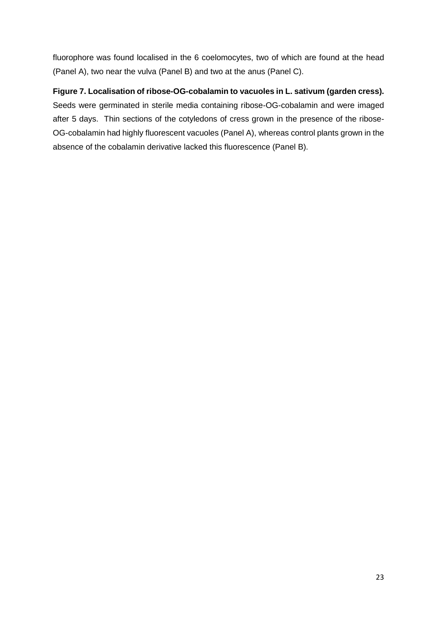fluorophore was found localised in the 6 coelomocytes, two of which are found at the head (Panel A), two near the vulva (Panel B) and two at the anus (Panel C).

**Figure 7. Localisation of ribose-OG-cobalamin to vacuoles in L. sativum (garden cress).** Seeds were germinated in sterile media containing ribose-OG-cobalamin and were imaged after 5 days. Thin sections of the cotyledons of cress grown in the presence of the ribose-OG-cobalamin had highly fluorescent vacuoles (Panel A), whereas control plants grown in the absence of the cobalamin derivative lacked this fluorescence (Panel B).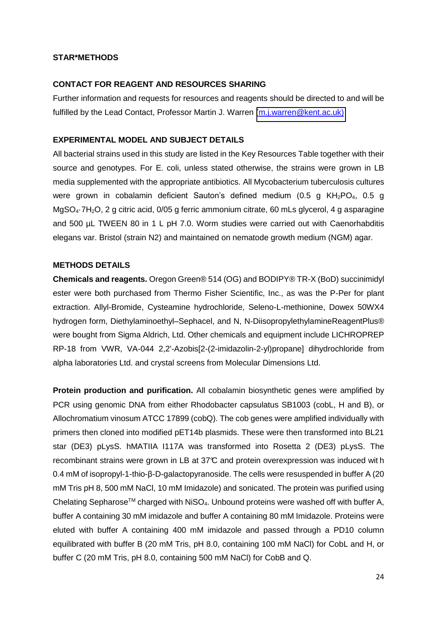#### **STAR\*METHODS**

#### **CONTACT FOR REAGENT AND RESOURCES SHARING**

Further information and requests for resources and reagents should be directed to and will be fulfilled by the Lead Contact, Professor Martin J. Warren [\(m.j.warren@kent.ac.uk\)](mailto:m.j.warren@kent.ac.uk))

#### **EXPERIMENTAL MODEL AND SUBJECT DETAILS**

All bacterial strains used in this study are listed in the Key Resources Table together with their source and genotypes. For E. coli, unless stated otherwise, the strains were grown in LB media supplemented with the appropriate antibiotics. All Mycobacterium tuberculosis cultures were grown in cobalamin deficient Sauton's defined medium (0.5 g KH<sub>2</sub>PO<sub>4</sub>, 0.5 g MgSO<sub>4</sub>·7H<sub>2</sub>O, 2 g citric acid, 0/05 g ferric ammonium citrate, 60 mLs glycerol, 4 g asparagine and 500 µL TWEEN 80 in 1 L pH 7.0. Worm studies were carried out with Caenorhabditis elegans var. Bristol (strain N2) and maintained on nematode growth medium (NGM) agar.

#### **METHODS DETAILS**

**Chemicals and reagents.** Oregon Green® 514 (OG) and BODIPY® TR-X (BoD) succinimidyl ester were both purchased from Thermo Fisher Scientific, Inc., as was the P-Per for plant extraction. Allyl-Bromide, Cysteamine hydrochloride, Seleno-L-methionine, Dowex 50WX4 hydrogen form, Diethylaminoethyl–Sephacel, and N, N-DiisopropylethylamineReagentPlus® were bought from Sigma Aldrich, Ltd. Other chemicals and equipment include LICHROPREP RP-18 from VWR, VA-044 2,2'-Azobis[2-(2-imidazolin-2-yl)propane] dihydrochloride from alpha laboratories Ltd. and crystal screens from Molecular Dimensions Ltd.

**Protein production and purification.** All cobalamin biosynthetic genes were amplified by PCR using genomic DNA from either Rhodobacter capsulatus SB1003 (cobL, H and B), or Allochromatium vinosum ATCC 17899 (cobQ). The cob genes were amplified individually with primers then cloned into modified pET14b plasmids. These were then transformed into BL21 star (DE3) pLysS. hMATIIA I117A was transformed into Rosetta 2 (DE3) pLysS. The recombinant strains were grown in LB at 37°C and protein overexpression was induced wit h 0.4 mM of isopropyl-1-thio- $\beta$ -D-galactopyranoside. The cells were resuspended in buffer A (20) mM Tris pH 8, 500 mM NaCl, 10 mM Imidazole) and sonicated. The protein was purified using Chelating Sepharose<sup>TM</sup> charged with NiSO<sub>4</sub>. Unbound proteins were washed off with buffer A, buffer A containing 30 mM imidazole and buffer A containing 80 mM Imidazole. Proteins were eluted with buffer A containing 400 mM imidazole and passed through a PD10 column equilibrated with buffer B (20 mM Tris, pH 8.0, containing 100 mM NaCl) for CobL and H, or buffer C (20 mM Tris, pH 8.0, containing 500 mM NaCl) for CobB and Q.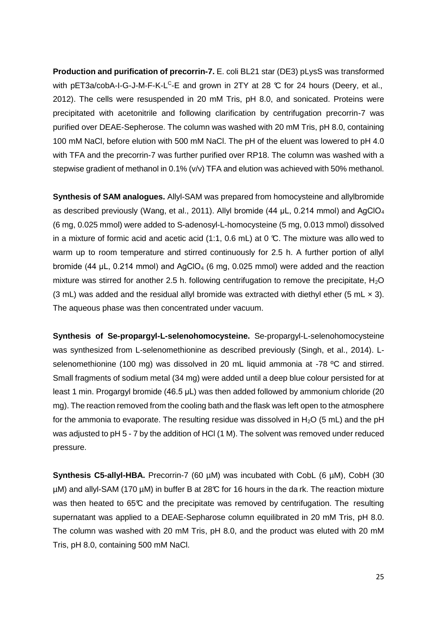**Production and purification of precorrin-7.** E. coli BL21 star (DE3) pLysS was transformed with pET3a/cobA-I-G-J-M-F-K-L<sup>c</sup>-E and grown in 2TY at 28 ℃ for 24 hours (Deery, et al., 2012). The cells were resuspended in 20 mM Tris, pH 8.0, and sonicated. Proteins were precipitated with acetonitrile and following clarification by centrifugation precorrin-7 was purified over DEAE-Sepherose. The column was washed with 20 mM Tris, pH 8.0, containing 100 mM NaCl, before elution with 500 mM NaCl. The pH of the eluent was lowered to pH 4.0 with TFA and the precorrin-7 was further purified over RP18. The column was washed with a stepwise gradient of methanol in 0.1% (v/v) TFA and elution was achieved with 50% methanol.

**Synthesis of SAM analogues.** Allyl-SAM was prepared from homocysteine and allylbromide as described previously (Wang, et al., 2011). Allyl bromide (44  $\mu$ L, 0.214 mmol) and AgClO<sub>4</sub> (6 mg, 0.025 mmol) were added to S-adenosyl-L-homocysteine (5 mg, 0.013 mmol) dissolved in a mixture of formic acid and acetic acid  $(1:1, 0.6 \text{ mL})$  at 0 °C. The mixture was allo wed to warm up to room temperature and stirred continuously for 2.5 h. A further portion of allyl bromide (44  $\mu$ L, 0.214 mmol) and AgClO<sub>4</sub> (6 mg, 0.025 mmol) were added and the reaction mixture was stirred for another 2.5 h. following centrifugation to remove the precipitate,  $H_2O$ (3 mL) was added and the residual allyl bromide was extracted with diethyl ether (5 mL  $\times$  3). The aqueous phase was then concentrated under vacuum.

**Synthesis of Se-propargyl-L-selenohomocysteine.** Se-propargyl-L-selenohomocysteine was synthesized from L-selenomethionine as described previously (Singh, et al., 2014). Lselenomethionine (100 mg) was dissolved in 20 mL liquid ammonia at -78 ºC and stirred. Small fragments of sodium metal (34 mg) were added until a deep blue colour persisted for at least 1 min. Progargyl bromide (46.5 µL) was then added followed by ammonium chloride (20 mg). The reaction removed from the cooling bath and the flask was left open to the atmosphere for the ammonia to evaporate. The resulting residue was dissolved in  $H_2O$  (5 mL) and the pH was adjusted to pH 5 - 7 by the addition of HCl (1 M). The solvent was removed under reduced pressure.

**Synthesis C5-allyl-HBA.** Precorrin-7 (60 µM) was incubated with CobL (6 µM), CobH (30 µM) and allyl-SAM (170 µM) in buffer B at 28°C for 16 hours in the da rk. The reaction mixture was then heated to  $65\textdegree$  and the precipitate was removed by centrifugation. The resulting supernatant was applied to a DEAE-Sepharose column equilibrated in 20 mM Tris, pH 8.0. The column was washed with 20 mM Tris, pH 8.0, and the product was eluted with 20 mM Tris, pH 8.0, containing 500 mM NaCl.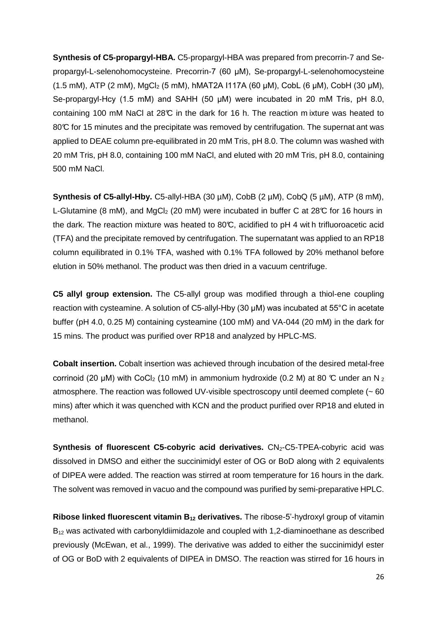**Synthesis of C5-propargyl-HBA.** C5-propargyl-HBA was prepared from precorrin-7 and Sepropargyl-L-selenohomocysteine. Precorrin-7 (60 µM), Se-propargyl-L-selenohomocysteine (1.5 mM), ATP (2 mM), MgCl<sub>2</sub> (5 mM), hMAT2A I117A (60 µM), CobL (6 µM), CobH (30 µM), Se-propargyl-Hcy (1.5 mM) and SAHH (50  $\mu$ M) were incubated in 20 mM Tris, pH 8.0, containing 100 mM NaCl at 28°C in the dark for 16 h. The reaction m ixture was heated to 80°C for 15 minutes and the precipitate was removed by centrifugation. The supernat ant was applied to DEAE column pre-equilibrated in 20 mM Tris, pH 8.0. The column was washed with 20 mM Tris, pH 8.0, containing 100 mM NaCl, and eluted with 20 mM Tris, pH 8.0, containing 500 mM NaCl.

Synthesis of C5-allyl-Hby. C5-allyl-HBA (30 µM), CobB (2 µM), CobQ (5 µM), ATP (8 mM), L-Glutamine (8 mM), and MgCl<sub>2</sub> (20 mM) were incubated in buffer C at 28°C for 16 hours in the dark. The reaction mixture was heated to  $80^{\circ}$ , acidified to pH 4 wit h trifluoroacetic acid (TFA) and the precipitate removed by centrifugation. The supernatant was applied to an RP18 column equilibrated in 0.1% TFA, washed with 0.1% TFA followed by 20% methanol before elution in 50% methanol. The product was then dried in a vacuum centrifuge.

**C5 allyl group extension.** The C5-allyl group was modified through a thiol-ene coupling reaction with cysteamine. A solution of C5-allyl-Hby (30  $\mu$ M) was incubated at 55°C in acetate buffer (pH 4.0, 0.25 M) containing cysteamine (100 mM) and VA-044 (20 mM) in the dark for 15 mins. The product was purified over RP18 and analyzed by HPLC-MS.

**Cobalt insertion.** Cobalt insertion was achieved through incubation of the desired metal-free corrinoid (20  $\mu$ M) with CoCl<sub>2</sub> (10 mM) in ammonium hydroxide (0.2 M) at 80 °C under an N <sub>2</sub> atmosphere. The reaction was followed UV-visible spectroscopy until deemed complete  $(~60)$ mins) after which it was quenched with KCN and the product purified over RP18 and eluted in methanol.

**Synthesis of fluorescent C5-cobyric acid derivatives.** CN<sub>2</sub>-C5-TPEA-cobyric acid was dissolved in DMSO and either the succinimidyl ester of OG or BoD along with 2 equivalents of DIPEA were added. The reaction was stirred at room temperature for 16 hours in the dark. The solvent was removed in vacuo and the compound was purified by semi-preparative HPLC.

**Ribose linked fluorescent vitamin B12 derivatives.** The ribose-5'-hydroxyl group of vitamin B12 was activated with carbonyldiimidazole and coupled with 1,2-diaminoethane as described previously (McEwan, et al., 1999). The derivative was added to either the succinimidyl ester of OG or BoD with 2 equivalents of DIPEA in DMSO. The reaction was stirred for 16 hours in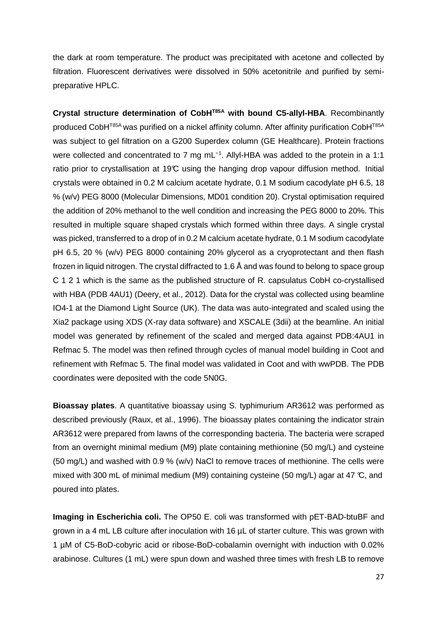the dark at room temperature. The product was precipitated with acetone and collected by filtration. Fluorescent derivatives were dissolved in 50% acetonitrile and purified by semipreparative HPLC.

**Crystal structure determination of CobHT85A with bound C5-allyl-HBA**. Recombinantly produced CobH<sup>T85A</sup> was purified on a nickel affinity column. After affinity purification CobH<sup>T85A</sup> was subject to gel filtration on a G200 Superdex column (GE Healthcare). Protein fractions were collected and concentrated to 7 mg mL<sup>-1</sup>. Allyl-HBA was added to the protein in a 1:1 ratio prior to crystallisation at 19°C using the hanging drop vapour diffusion method. Initial crystals were obtained in 0.2 M calcium acetate hydrate, 0.1 M sodium cacodylate pH 6.5, 18 % (w/v) PEG 8000 (Molecular Dimensions, MD01 condition 20). Crystal optimisation required the addition of 20% methanol to the well condition and increasing the PEG 8000 to 20%. This resulted in multiple square shaped crystals which formed within three days. A single crystal was picked, transferred to a drop of in 0.2 M calcium acetate hydrate, 0.1 M sodium cacodylate pH 6.5, 20 % (w/v) PEG 8000 containing 20% glycerol as a cryoprotectant and then flash frozen in liquid nitrogen. The crystal diffracted to 1.6 Å and was found to belong to space group C 1 2 1 which is the same as the published structure of R. capsulatus CobH co-crystallised with HBA (PDB 4AU1) (Deery, et al., 2012). Data for the crystal was collected using beamline IO4-1 at the Diamond Light Source (UK). The data was auto-integrated and scaled using the Xia2 package using XDS (X-ray data software) and XSCALE (3dii) at the beamline. An initial model was generated by refinement of the scaled and merged data against PDB:4AU1 in Refmac 5. The model was then refined through cycles of manual model building in Coot and refinement with Refmac 5. The final model was validated in Coot and with wwPDB. The PDB coordinates were deposited with the code 5N0G.

**Bioassay plates**. A quantitative bioassay using S. typhimurium AR3612 was performed as described previously (Raux, et al., 1996). The bioassay plates containing the indicator strain AR3612 were prepared from lawns of the corresponding bacteria. The bacteria were scraped from an overnight minimal medium (M9) plate containing methionine (50 mg/L) and cysteine (50 mg/L) and washed with 0.9 % (w/v) NaCl to remove traces of methionine. The cells were mixed with 300 mL of minimal medium (M9) containing cysteine (50 mg/L) agar at 47  $\mathbb{C}$ , and poured into plates.

**Imaging in Escherichia coli.** The OP50 E. coli was transformed with pET-BAD-btuBF and grown in a 4 mL LB culture after inoculation with 16  $\mu$ L of starter culture. This was grown with 1 µM of C5-BoD-cobyric acid or ribose-BoD-cobalamin overnight with induction with 0.02% arabinose. Cultures (1 mL) were spun down and washed three times with fresh LB to remove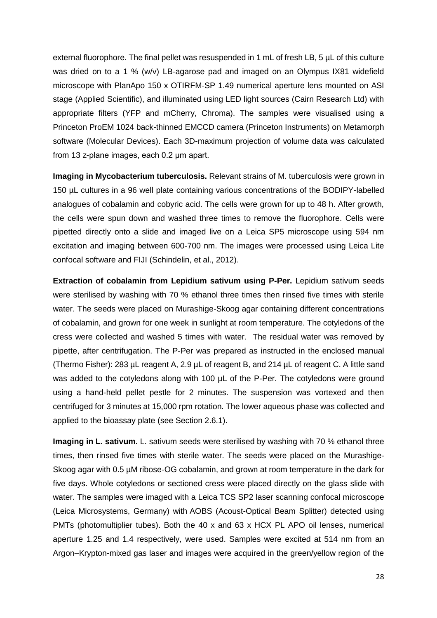external fluorophore. The final pellet was resuspended in 1 mL of fresh LB, 5  $\mu$ L of this culture was dried on to a 1 % (w/v) LB-agarose pad and imaged on an Olympus IX81 widefield microscope with PlanApo 150 x OTIRFM-SP 1.49 numerical aperture lens mounted on ASI stage (Applied Scientific), and illuminated using LED light sources (Cairn Research Ltd) with appropriate filters (YFP and mCherry, Chroma). The samples were visualised using a Princeton ProEM 1024 back-thinned EMCCD camera (Princeton Instruments) on Metamorph software (Molecular Devices). Each 3D-maximum projection of volume data was calculated from 13 z-plane images, each  $0.2 \mu m$  apart.

**Imaging in Mycobacterium tuberculosis.** Relevant strains of M. tuberculosis were grown in 150 µL cultures in a 96 well plate containing various concentrations of the BODIPY-labelled analogues of cobalamin and cobyric acid. The cells were grown for up to 48 h. After growth, the cells were spun down and washed three times to remove the fluorophore. Cells were pipetted directly onto a slide and imaged live on a Leica SP5 microscope using 594 nm excitation and imaging between 600-700 nm. The images were processed using Leica Lite confocal software and FIJI (Schindelin, et al., 2012).

**Extraction of cobalamin from Lepidium sativum using P-Per.** Lepidium sativum seeds were sterilised by washing with 70 % ethanol three times then rinsed five times with sterile water. The seeds were placed on Murashige-Skoog agar containing different concentrations of cobalamin, and grown for one week in sunlight at room temperature. The cotyledons of the cress were collected and washed 5 times with water. The residual water was removed by pipette, after centrifugation. The P-Per was prepared as instructed in the enclosed manual (Thermo Fisher): 283 µL reagent A, 2.9 µL of reagent B, and 214 µL of reagent C. A little sand was added to the cotyledons along with 100 µL of the P-Per. The cotyledons were ground using a hand-held pellet pestle for 2 minutes. The suspension was vortexed and then centrifuged for 3 minutes at 15,000 rpm rotation. The lower aqueous phase was collected and applied to the bioassay plate (see Section 2.6.1).

**Imaging in L. sativum.** L. sativum seeds were sterilised by washing with 70 % ethanol three times, then rinsed five times with sterile water. The seeds were placed on the Murashige-Skoog agar with 0.5 µM ribose-OG cobalamin, and grown at room temperature in the dark for five days. Whole cotyledons or sectioned cress were placed directly on the glass slide with water. The samples were imaged with a Leica TCS SP2 laser scanning confocal microscope (Leica Microsystems, Germany) with AOBS (Acoust-Optical Beam Splitter) detected using PMTs (photomultiplier tubes). Both the 40 x and 63 x HCX PL APO oil lenses, numerical aperture 1.25 and 1.4 respectively, were used. Samples were excited at 514 nm from an Argon–Krypton-mixed gas laser and images were acquired in the green/yellow region of the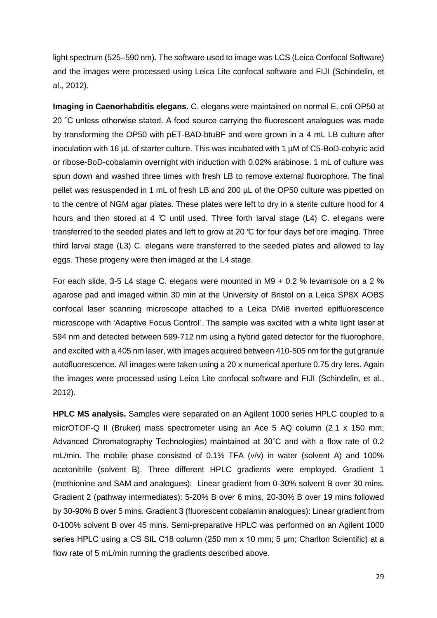light spectrum (525–590 nm). The software used to image was LCS (Leica Confocal Software) and the images were processed using Leica Lite confocal software and FIJI (Schindelin, et al., 2012).

**Imaging in Caenorhabditis elegans.** C. elegans were maintained on normal E. coli OP50 at 20 ˚C unless otherwise stated. A food source carrying the fluorescent analogues was made by transforming the OP50 with pET-BAD-btuBF and were grown in a 4 mL LB culture after inoculation with 16 µL of starter culture. This was incubated with 1 µM of C5-BoD-cobyric acid or ribose-BoD-cobalamin overnight with induction with 0.02% arabinose. 1 mL of culture was spun down and washed three times with fresh LB to remove external fluorophore. The final pellet was resuspended in 1 mL of fresh LB and 200 µL of the OP50 culture was pipetted on to the centre of NGM agar plates. These plates were left to dry in a sterile culture hood for 4 hours and then stored at 4  $\mathbb C$  until used. Three forth larval stage (L4) C. elegans were transferred to the seeded plates and left to grow at 20  $\mathfrak{C}$  for four days bef ore imaging. Three third larval stage (L3) C. elegans were transferred to the seeded plates and allowed to lay eggs. These progeny were then imaged at the L4 stage.

For each slide, 3-5 L4 stage C. elegans were mounted in M9 + 0.2 % levamisole on a 2 % agarose pad and imaged within 30 min at the University of Bristol on a Leica SP8X AOBS confocal laser scanning microscope attached to a Leica DMi8 inverted epifluorescence microscope with 'Adaptive Focus Control'. The sample was excited with a white light laser at 594 nm and detected between 599-712 nm using a hybrid gated detector for the fluorophore, and excited with a 405 nm laser, with images acquired between 410-505 nm for the gut granule autofluorescence. All images were taken using a 20 x numerical aperture 0.75 dry lens. Again the images were processed using Leica Lite confocal software and FIJI (Schindelin, et al., 2012).

**HPLC MS analysis.** Samples were separated on an Agilent 1000 series HPLC coupled to a micrOTOF-Q II (Bruker) mass spectrometer using an Ace 5 AQ column (2.1 x 150 mm; Advanced Chromatography Technologies) maintained at 30˚C and with a flow rate of 0.2 mL/min. The mobile phase consisted of  $0.1\%$  TFA ( $v/v$ ) in water (solvent A) and 100% acetonitrile (solvent B). Three different HPLC gradients were employed. Gradient 1 (methionine and SAM and analogues): Linear gradient from 0-30% solvent B over 30 mins. Gradient 2 (pathway intermediates): 5-20% B over 6 mins, 20-30% B over 19 mins followed by 30-90% B over 5 mins. Gradient 3 (fluorescent cobalamin analogues): Linear gradient from 0-100% solvent B over 45 mins. Semi-preparative HPLC was performed on an Agilent 1000 series HPLC using a CS SIL C18 column (250 mm  $x$  10 mm; 5  $\mu$ m; Charlton Scientific) at a flow rate of 5 mL/min running the gradients described above.